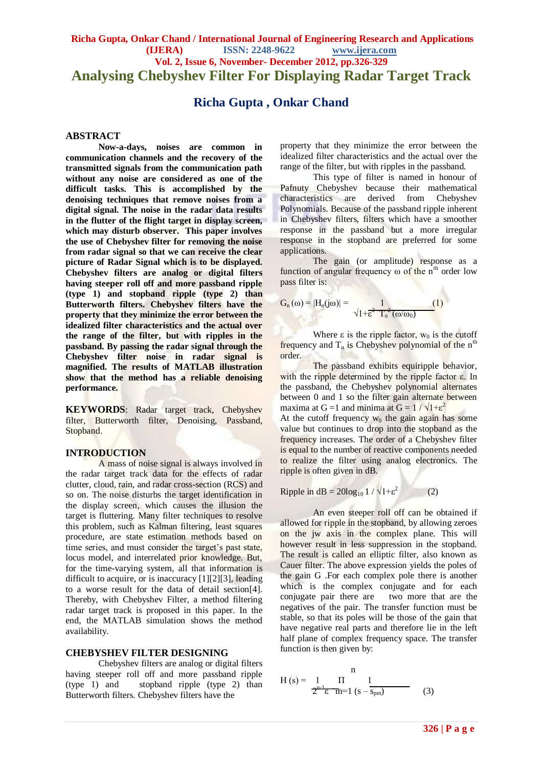## **Richa Gupta, Onkar Chand / International Journal of Engineering Research and Applications (IJERA) ISSN: 2248-9622 www.ijera.com Vol. 2, Issue 6, November- December 2012, pp.326-329 Analysing Chebyshev Filter For Displaying Radar Target Track**

# **Richa Gupta , Onkar Chand**

## **ABSTRACT**

**Now-a-days, noises are common in communication channels and the recovery of the transmitted signals from the communication path without any noise are considered as one of the difficult tasks. This is accomplished by the denoising techniques that remove noises from a digital signal. The noise in the radar data results in the flutter of the flight target in display screen, which may disturb observer. This paper involves the use of Chebyshev filter for removing the noise from radar signal so that we can receive the clear picture of Radar Signal which is to be displayed. Chebyshev filters are analog or digital filters having steeper roll off and more passband ripple (type 1) and stopband ripple (type 2) than Butterworth filters. Chebyshev filters have the property that they minimize the error between the idealized filter characteristics and the actual over the range of the filter, but with ripples in the passband. By passing the radar signal through the Chebyshev filter noise in radar signal is magnified. The results of MATLAB illustration show that the method has a reliable denoising performance.**

**KEYWORDS**: Radar target track, Chebyshev filter, Butterworth filter, Denoising, Passband, Stopband.

### **INTRODUCTION**

A mass of noise signal is always involved in the radar target track data for the effects of radar clutter, cloud, rain, and radar cross-section (RCS) and so on. The noise disturbs the target identification in the display screen, which causes the illusion the target is fluttering. Many filter techniques to resolve this problem, such as Kalman filtering, least squares procedure, are state estimation methods based on time series, and must consider the target's past state, locus model, and interrelated prior knowledge. But, for the time-varying system, all that information is difficult to acquire, or is inaccuracy [1][2][3], leading to a worse result for the data of detail section[4]. Thereby, with Chebyshev Filter, a method filtering radar target track is proposed in this paper. In the end, the MATLAB simulation shows the method availability.

## **CHEBYSHEV FILTER DESIGNING**

Chebyshev filters are analog or digital filters having steeper roll off and more passband ripple (type 1) and stopband ripple (type 2) than Butterworth filters. Chebyshev filters have the

property that they minimize the error between the idealized filter characteristics and the actual over the range of the filter, but with ripples in the passband.

This type of filter is named in honour of Pafnuty Chebyshev because their mathematical characteristics are derived from Chebyshev Polynomials. Because of the passband ripple inherent in Chebyshev filters, filters which have a smoother response in the passband but a more irregular response in the stopband are preferred for some applications.

The gain (or amplitude) response as a function of angular frequency  $\omega$  of the n<sup>th</sup> order low pass filter is:

$$
G_n(\omega) = |H_n(j\omega)| = \frac{1}{\sqrt{1 + \epsilon^2} \cdot T_n^2(\omega/\omega_0)}
$$
 (1)

 $\sim$ 

Where  $\varepsilon$  is the ripple factor,  $w_0$  is the cutoff frequency and  $T_n$  is Chebyshev polynomial of the  $n^{th}$ order.

The passband exhibits equiripple behavior, with the ripple determined by the ripple factor ε. In the passband, the Chebyshev polynomial alternates between 0 and 1 so the filter gain alternate between maxima at G = 1 and minima at G =  $1 / \sqrt{1 + \epsilon^2}$  $\ddot{\phantom{a}}$ 

At the cutoff frequency  $w_0$  the gain again has some value but continues to drop into the stopband as the frequency increases. The order of a Chebyshev filter is equal to the number of reactive components needed to realize the filter using analog electronics. The ripple is often given in dB.

Ripple in  $dB = 20\log_{10} 1 / \sqrt{1 + \epsilon^2}$ (2)

An even steeper roll off can be obtained if allowed for ripple in the stopband, by allowing zeroes on the jw axis in the complex plane. This will however result in less suppression in the stopband. The result is called an elliptic filter, also known as Cauer filter. The above expression yields the poles of the gain G .For each complex pole there is another which is the complex conjugate and for each conjugate pair there are two more that are the negatives of the pair. The transfer function must be stable, so that its poles will be those of the gain that have negative real parts and therefore lie in the left half plane of complex frequency space. The transfer function is then given by:

$$
H (s) = \frac{1}{2^{n-1} \epsilon} \frac{\Pi}{m=1} \frac{1}{(s - s_{pm})}
$$
 (3)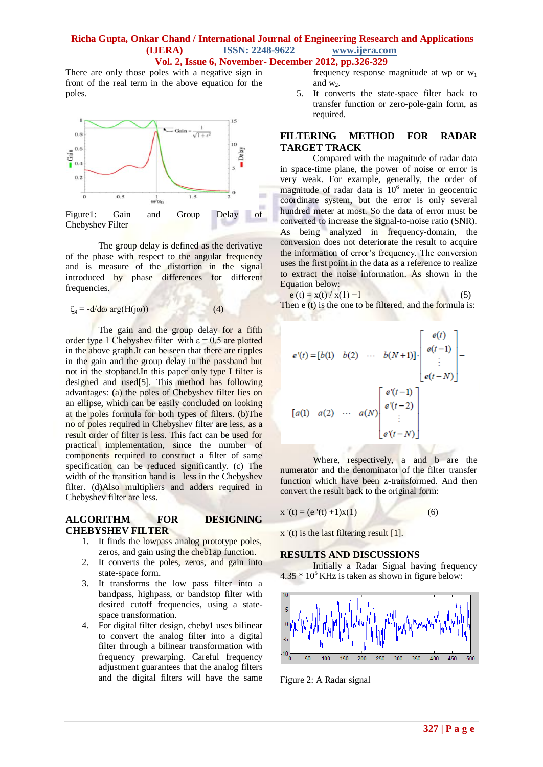## **Richa Gupta, Onkar Chand / International Journal of Engineering Research and Applications (IJERA) ISSN: 2248-9622 www.ijera.com Vol. 2, Issue 6, November- December 2012, pp.326-329**

There are only those poles with a negative sign in front of the real term in the above equation for the poles.



The group delay is defined as the derivative of the phase with respect to the angular frequency and is measure of the distortion in the signal introduced by phase differences for different frequencies.

$$
\zeta_{\rm g} = -\frac{d}{d\omega} \arg(\mathbf{H}(j\omega))\tag{4}
$$

The gain and the group delay for a fifth order type 1 Chebyshev filter with  $\varepsilon = 0.5$  are plotted in the above graph.It can be seen that there are ripples in the gain and the group delay in the passband but not in the stopband.In this paper only type I filter is designed and used[5]. This method has following advantages: (a) the poles of Chebyshev filter lies on an ellipse, which can be easily concluded on looking at the poles formula for both types of filters. (b)The no of poles required in Chebyshev filter are less, as a result order of filter is less. This fact can be used for practical implementation, since the number of components required to construct a filter of same specification can be reduced significantly. (c) The width of the transition band is less in the Chebyshev filter. (d)Also multipliers and adders required in Chebyshev filter are less.

## **ALGORITHM FOR DESIGNING CHEBYSHEV FILTER**

- 1. It finds the lowpass analog prototype poles, zeros, and gain using th[e cheb1ap](jar:file:///C:/Program%20Files/MATLAB/R2009b/help/toolbox/signal/help.jar%21/cheb1ap.html) function.
- 2. It converts the poles, zeros, and gain into state-space form.
- 3. It transforms the low pass filter into a bandpass, highpass, or bandstop filter with desired cutoff frequencies, using a statespace transformation.
- 4. For digital filter design, cheby1 uses [bilinear](jar:file:///C:/Program%20Files/MATLAB/R2009b/help/toolbox/signal/help.jar%21/bilinear.html) to convert the analog filter into a digital filter through a bilinear transformation with frequency prewarping. Careful frequency adjustment guarantees that the analog filters and the digital filters will have the same

frequency response magnitude at wp or  $w_1$ and  $w_2$ .

5. It converts the state-space filter back to transfer function or zero-pole-gain form, as required.

## **FILTERING METHOD FOR RADAR TARGET TRACK**

Compared with the magnitude of radar data in space-time plane, the power of noise or error is very weak. For example, generally, the order of magnitude of radar data is  $10<sup>6</sup>$  meter in geocentric coordinate system, but the error is only several hundred meter at most. So the data of error must be converted to increase the signal-to-noise ratio (SNR). As being analyzed in frequency-domain, the conversion does not deteriorate the result to acquire the information of error's frequency. The conversion uses the first point in the data as a reference to realize to extract the noise information. As shown in the Equation below:

$$
e(t) = x(t) / x(1) - 1
$$
 (5)

Then e (t) is the one to be filtered, and the formula is:

K. W

$$
e'(t) = [b(1) \quad b(2) \quad \cdots \quad b(N+1)] \cdot \begin{bmatrix} e(t) \\ e(t-1) \\ \vdots \\ e(t-N) \end{bmatrix} -
$$

$$
[a(1) \quad a(2) \quad \cdots \quad a(N) \begin{bmatrix} e'(t-1) \\ e'(t-2) \\ \vdots \\ e'(t-N) \end{bmatrix}
$$

Where, respectively, a and b are the numerator and the denominator of the filter transfer function which have been z-transformed. And then convert the result back to the original form:

$$
x'(t) = (e'(t) + 1)x(1)
$$
 (6)

x '(t) is the last filtering result [1].

#### **RESULTS AND DISCUSSIONS**

Initially a Radar Signal having frequency  $4.35 * 10<sup>5</sup>$  KHz is taken as shown in figure below:



Figure 2: A Radar signal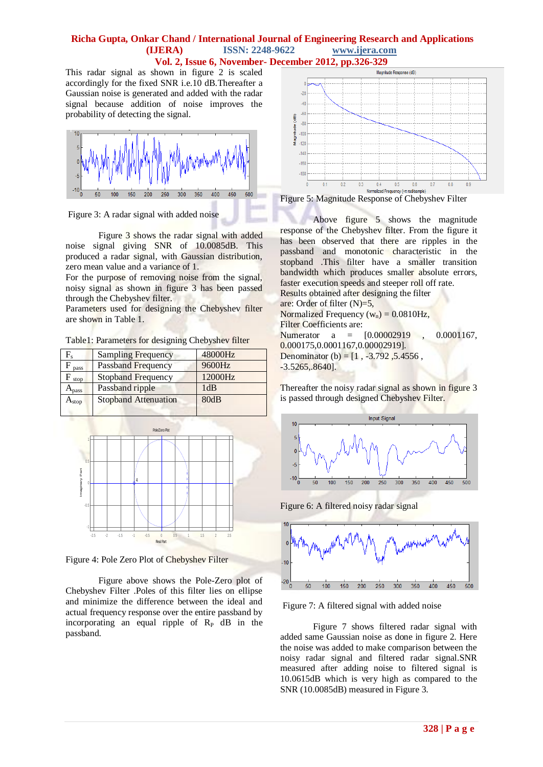## **Richa Gupta, Onkar Chand / International Journal of Engineering Research and Applications (IJERA) ISSN: 2248-9622 www.ijera.com Vol. 2, Issue 6, November- December 2012, pp.326-329**

This radar signal as shown in figure 2 is scaled accordingly for the fixed SNR i.e.10 dB.Thereafter a Gaussian noise is generated and added with the radar signal because addition of noise improves the probability of detecting the signal.



Figure 3: A radar signal with added noise

Figure 3 shows the radar signal with added noise signal giving SNR of 10.0085dB. This produced a radar signal, with Gaussian distribution, zero mean value and a variance of 1.

For the purpose of removing noise from the signal, noisy signal as shown in figure 3 has been passed through the Chebyshev filter.

Parameters used for designing the Chebyshev filter are shown in Table 1.

Table1: Parameters for designing Chebyshev filter

| F.            | <b>Sampling Frequency</b>   | 48000Hz |
|---------------|-----------------------------|---------|
| pass          | Passband Frequency          | 9600Hz  |
| stop          | <b>Stopband Frequency</b>   | 12000Hz |
| <b>L</b> pass | Passband ripple             | 1dB     |
| $A_{stop}$    | <b>Stopband Attenuation</b> | 80dB    |
|               |                             |         |



Figure 4: Pole Zero Plot of Chebyshev Filter

Figure above shows the Pole-Zero plot of Chebyshev Filter .Poles of this filter lies on ellipse and minimize the difference between the ideal and actual frequency response over the entire passband by incorporating an equal ripple of  $R_{P}$  dB in the passband.





Above figure 5 shows the magnitude response of the Chebyshev filter. From the figure it has been observed that there are ripples in the passband and monotonic characteristic in the stopband .This filter have a smaller transition bandwidth which produces smaller absolute errors, faster execution speeds and steeper roll off rate. Results obtained after designing the filter are: Order of filter (N)=5, Normalized Frequency  $(w_n) = 0.0810$ Hz, Filter Coefficients are: Numerator a =  $[0.00002919]$ , 0.0001167, 0.000175,0.0001167,0.00002919]. Denominator (b) =  $[1, -3.792, 5.4556,$  $-3.5265, 8640$ ].

Thereafter the noisy radar signal as shown in figure 3 is passed through designed Chebyshev Filter.



Figure 6: A filtered noisy radar signal



Figure 7: A filtered signal with added noise

Figure 7 shows filtered radar signal with added same Gaussian noise as done in figure 2. Here the noise was added to make comparison between the noisy radar signal and filtered radar signal.SNR measured after adding noise to filtered signal is 10.0615dB which is very high as compared to the SNR (10.0085dB) measured in Figure 3.